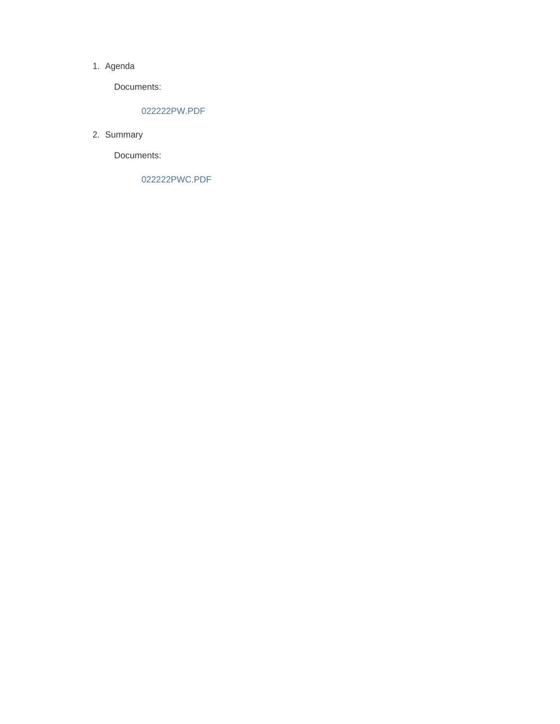#### 1. Agenda

Documents:

#### 022222PW.PDF

2. Summary

Documents:

022222PWC.PDF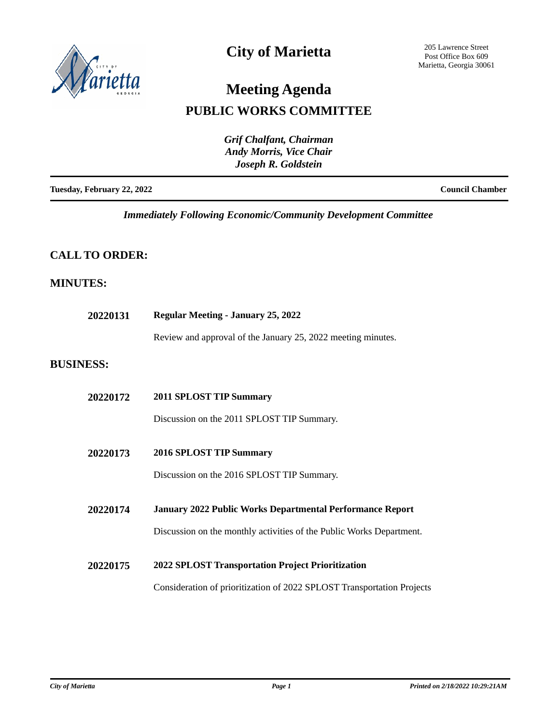

## **City of Marietta**

205 Lawrence Street Post Office Box 609 Marietta, Georgia 30061

# **Meeting Agenda**

## **PUBLIC WORKS COMMITTEE**

|                            | Grif Chalfant, Chairman<br><b>Andy Morris, Vice Chair</b><br>Joseph R. Goldstein |
|----------------------------|----------------------------------------------------------------------------------|
| Tuesday, February 22, 2022 | <b>Council Chamber</b>                                                           |

*Immediately Following Economic/Community Development Committee*

## **CALL TO ORDER:**

### **MINUTES:**

| 20220131         | <b>Regular Meeting - January 25, 2022</b>                              |  |
|------------------|------------------------------------------------------------------------|--|
|                  | Review and approval of the January 25, 2022 meeting minutes.           |  |
| <b>BUSINESS:</b> |                                                                        |  |
| 20220172         | 2011 SPLOST TIP Summary                                                |  |
|                  | Discussion on the 2011 SPLOST TIP Summary.                             |  |
| 20220173         | 2016 SPLOST TIP Summary                                                |  |
|                  | Discussion on the 2016 SPLOST TIP Summary.                             |  |
| 20220174         | <b>January 2022 Public Works Departmental Performance Report</b>       |  |
|                  | Discussion on the monthly activities of the Public Works Department.   |  |
| 20220175         | 2022 SPLOST Transportation Project Prioritization                      |  |
|                  | Consideration of prioritization of 2022 SPLOST Transportation Projects |  |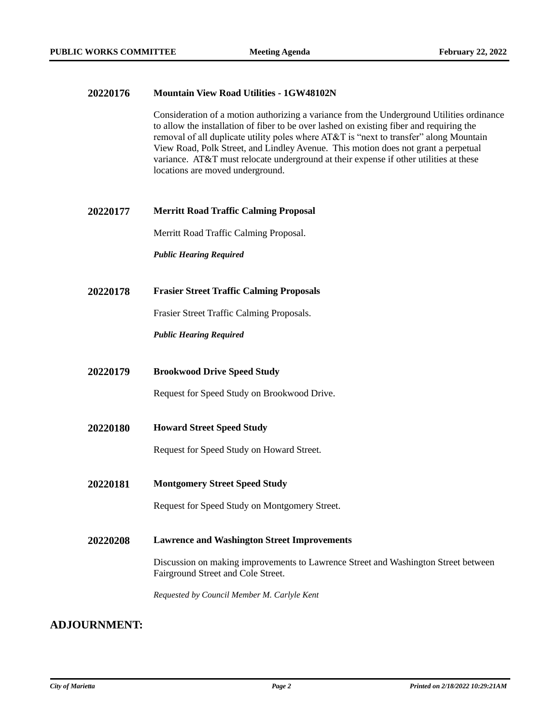#### **20220176 Mountain View Road Utilities - 1GW48102N**

Consideration of a motion authorizing a variance from the Underground Utilities ordinance to allow the installation of fiber to be over lashed on existing fiber and requiring the removal of all duplicate utility poles where AT&T is "next to transfer" along Mountain View Road, Polk Street, and Lindley Avenue. This motion does not grant a perpetual variance. AT&T must relocate underground at their expense if other utilities at these locations are moved underground.

#### **20220177 Merritt Road Traffic Calming Proposal**

Merritt Road Traffic Calming Proposal.

*Public Hearing Required*

**20220178 Frasier Street Traffic Calming Proposals**

Frasier Street Traffic Calming Proposals.

*Public Hearing Required*

**20220179 Brookwood Drive Speed Study**

Request for Speed Study on Brookwood Drive.

**20220180 Howard Street Speed Study**

Request for Speed Study on Howard Street.

**20220181 Montgomery Street Speed Study**

Request for Speed Study on Montgomery Street.

**20220208 Lawrence and Washington Street Improvements**

Discussion on making improvements to Lawrence Street and Washington Street between Fairground Street and Cole Street.

*Requested by Council Member M. Carlyle Kent*

#### **ADJOURNMENT:**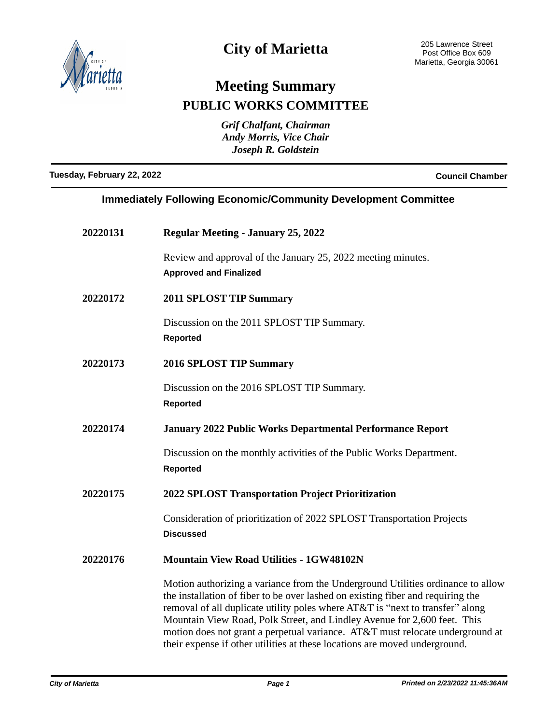

## **City of Marietta**

## **Meeting Summary PUBLIC WORKS COMMITTEE**

*Grif Chalfant, Chairman Andy Morris, Vice Chair Joseph R. Goldstein*

**Tuesday, February 22, 2022 Council Chamber**

## **Immediately Following Economic/Community Development Committee**

| 20220131 | <b>Regular Meeting - January 25, 2022</b>                                                                                                                                                                                                                                                                                                                                                                                                                                                      |
|----------|------------------------------------------------------------------------------------------------------------------------------------------------------------------------------------------------------------------------------------------------------------------------------------------------------------------------------------------------------------------------------------------------------------------------------------------------------------------------------------------------|
|          | Review and approval of the January 25, 2022 meeting minutes.<br><b>Approved and Finalized</b>                                                                                                                                                                                                                                                                                                                                                                                                  |
| 20220172 | <b>2011 SPLOST TIP Summary</b>                                                                                                                                                                                                                                                                                                                                                                                                                                                                 |
|          | Discussion on the 2011 SPLOST TIP Summary.<br><b>Reported</b>                                                                                                                                                                                                                                                                                                                                                                                                                                  |
| 20220173 | <b>2016 SPLOST TIP Summary</b>                                                                                                                                                                                                                                                                                                                                                                                                                                                                 |
|          | Discussion on the 2016 SPLOST TIP Summary.<br><b>Reported</b>                                                                                                                                                                                                                                                                                                                                                                                                                                  |
| 20220174 | <b>January 2022 Public Works Departmental Performance Report</b>                                                                                                                                                                                                                                                                                                                                                                                                                               |
|          | Discussion on the monthly activities of the Public Works Department.<br><b>Reported</b>                                                                                                                                                                                                                                                                                                                                                                                                        |
| 20220175 | <b>2022 SPLOST Transportation Project Prioritization</b>                                                                                                                                                                                                                                                                                                                                                                                                                                       |
|          | Consideration of prioritization of 2022 SPLOST Transportation Projects<br><b>Discussed</b>                                                                                                                                                                                                                                                                                                                                                                                                     |
| 20220176 | <b>Mountain View Road Utilities - 1GW48102N</b>                                                                                                                                                                                                                                                                                                                                                                                                                                                |
|          | Motion authorizing a variance from the Underground Utilities ordinance to allow<br>the installation of fiber to be over lashed on existing fiber and requiring the<br>removal of all duplicate utility poles where AT&T is "next to transfer" along<br>Mountain View Road, Polk Street, and Lindley Avenue for 2,600 feet. This<br>motion does not grant a perpetual variance. AT&T must relocate underground at<br>their expense if other utilities at these locations are moved underground. |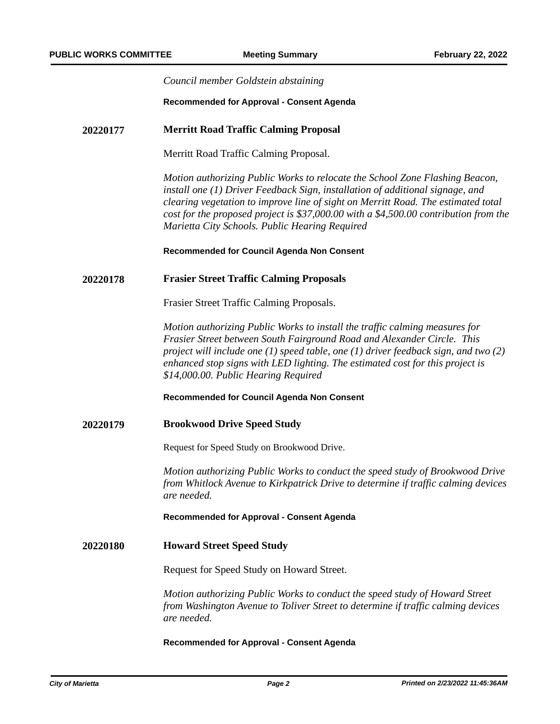|          | Council member Goldstein abstaining                                                                                                                                                                                                                                                                                                                                                          |
|----------|----------------------------------------------------------------------------------------------------------------------------------------------------------------------------------------------------------------------------------------------------------------------------------------------------------------------------------------------------------------------------------------------|
|          | Recommended for Approval - Consent Agenda                                                                                                                                                                                                                                                                                                                                                    |
| 20220177 | <b>Merritt Road Traffic Calming Proposal</b>                                                                                                                                                                                                                                                                                                                                                 |
|          | Merritt Road Traffic Calming Proposal.                                                                                                                                                                                                                                                                                                                                                       |
|          | Motion authorizing Public Works to relocate the School Zone Flashing Beacon,<br>install one (1) Driver Feedback Sign, installation of additional signage, and<br>clearing vegetation to improve line of sight on Merritt Road. The estimated total<br>cost for the proposed project is \$37,000.00 with a \$4,500.00 contribution from the<br>Marietta City Schools. Public Hearing Required |
|          | Recommended for Council Agenda Non Consent                                                                                                                                                                                                                                                                                                                                                   |
| 20220178 | <b>Frasier Street Traffic Calming Proposals</b>                                                                                                                                                                                                                                                                                                                                              |
|          | Frasier Street Traffic Calming Proposals.                                                                                                                                                                                                                                                                                                                                                    |
|          | Motion authorizing Public Works to install the traffic calming measures for<br>Frasier Street between South Fairground Road and Alexander Circle. This<br>project will include one $(1)$ speed table, one $(1)$ driver feedback sign, and two $(2)$<br>enhanced stop signs with LED lighting. The estimated cost for this project is<br>\$14,000.00. Public Hearing Required                 |
|          | Recommended for Council Agenda Non Consent                                                                                                                                                                                                                                                                                                                                                   |
| 20220179 | <b>Brookwood Drive Speed Study</b>                                                                                                                                                                                                                                                                                                                                                           |
|          | Request for Speed Study on Brookwood Drive.                                                                                                                                                                                                                                                                                                                                                  |
|          | Motion authorizing Public Works to conduct the speed study of Brookwood Drive<br>from Whitlock Avenue to Kirkpatrick Drive to determine if traffic calming devices<br>are needed.                                                                                                                                                                                                            |
|          | Recommended for Approval - Consent Agenda                                                                                                                                                                                                                                                                                                                                                    |
| 20220180 | <b>Howard Street Speed Study</b>                                                                                                                                                                                                                                                                                                                                                             |
|          | Request for Speed Study on Howard Street.                                                                                                                                                                                                                                                                                                                                                    |
|          | Motion authorizing Public Works to conduct the speed study of Howard Street<br>from Washington Avenue to Toliver Street to determine if traffic calming devices<br>are needed.                                                                                                                                                                                                               |
|          | Recommended for Approval - Consent Agenda                                                                                                                                                                                                                                                                                                                                                    |